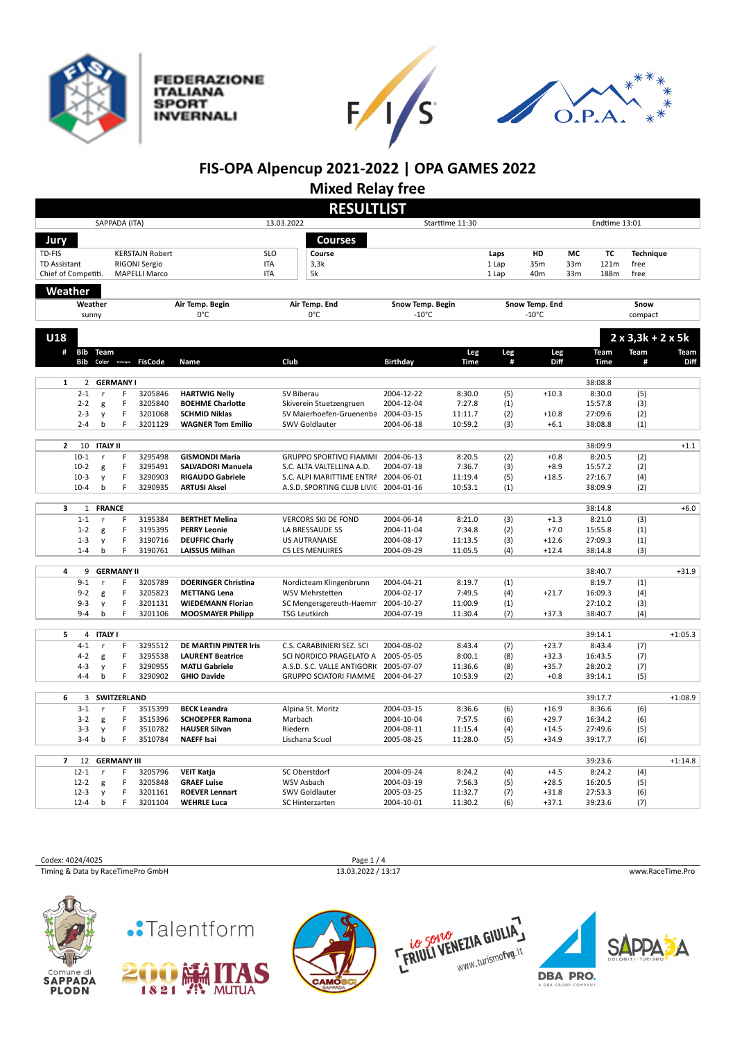







## **FIS-OPA Alpencup 2021-2022 | OPA GAMES 2022**

**Mixed Relay free**

|                     |                         |                  |                         |                         |                                                 |                               | <b>RESULTLIST</b>                                            |                                     |                    |            |                                   |     |                    |                  |             |  |
|---------------------|-------------------------|------------------|-------------------------|-------------------------|-------------------------------------------------|-------------------------------|--------------------------------------------------------------|-------------------------------------|--------------------|------------|-----------------------------------|-----|--------------------|------------------|-------------|--|
|                     |                         |                  | SAPPADA (ITA)           |                         |                                                 | 13.03.2022<br>Starttime 11:30 |                                                              |                                     |                    |            | Endtime 13:01                     |     |                    |                  |             |  |
| Jury                |                         |                  |                         |                         |                                                 |                               | <b>Courses</b>                                               |                                     |                    |            |                                   |     |                    |                  |             |  |
| TD-FIS              |                         |                  |                         | <b>KERSTAJN Robert</b>  |                                                 | SLO                           | Course                                                       |                                     |                    | Laps       | HD                                | МC  | <b>TC</b>          | <b>Technique</b> |             |  |
| <b>TD Assistant</b> |                         |                  |                         | RIGONI Sergio           |                                                 | <b>ITA</b>                    | 3,3k                                                         |                                     |                    | 1 Lap      | 35m                               | 33m | 121m               | free             |             |  |
| Chief of Competiti. |                         |                  |                         | <b>MAPELLI Marco</b>    |                                                 | <b>ITA</b>                    | 5k                                                           |                                     |                    | 1 Lap      | 40m                               | 33m | 188m               | free             |             |  |
|                     |                         |                  |                         |                         |                                                 |                               |                                                              |                                     |                    |            |                                   |     |                    |                  |             |  |
| Weather             |                         |                  |                         |                         |                                                 |                               |                                                              |                                     |                    |            |                                   |     |                    |                  |             |  |
|                     | Weather<br>sunny        |                  |                         |                         | Air Temp. Begin<br>0°C                          |                               | Air Temp. End<br>0°C                                         | Snow Temp. Begin<br>$-10^{\circ}$ C |                    |            | Snow Temp. End<br>$-10^{\circ}$ C |     |                    | Snow<br>compact  |             |  |
|                     |                         |                  |                         |                         |                                                 |                               |                                                              |                                     |                    |            |                                   |     |                    |                  |             |  |
| U18                 |                         |                  |                         |                         |                                                 |                               |                                                              |                                     |                    |            |                                   |     |                    | $2x3,3k + 2x5k$  |             |  |
| #                   | Bib                     | Team             |                         |                         |                                                 |                               |                                                              |                                     | Leg                | Leg        | Leg                               |     | Team               | Team             | <b>Team</b> |  |
|                     | <b>Bib</b>              |                  |                         | Color Technique FisCode | Name                                            | Club                          |                                                              | <b>Birthday</b>                     | <b>Time</b>        | #          | Diff                              |     | <b>Time</b>        | #                | Diff        |  |
|                     |                         |                  |                         |                         |                                                 |                               |                                                              |                                     |                    |            |                                   |     |                    |                  |             |  |
| $\mathbf 1$         | $\overline{2}$          |                  | <b>GERMANY I</b>        |                         |                                                 |                               |                                                              |                                     |                    |            |                                   |     | 38:08.8            |                  |             |  |
|                     | $2 - 1$                 | r                | F.                      | 3205846                 | <b>HARTWIG Nelly</b>                            |                               | SV Biberau                                                   | 2004-12-22                          | 8:30.0             | (5)        | $+10.3$                           |     | 8:30.0             | (5)              |             |  |
|                     | $2 - 2$                 | g                | F                       | 3205840                 | <b>BOEHME Charlotte</b>                         |                               | Skiverein Stuetzengruen                                      | 2004-12-04                          | 7:27.8             | (1)        |                                   |     | 15:57.8            | (3)              |             |  |
|                     | $2 - 3$                 | y                | F<br>F                  | 3201068                 | <b>SCHMID Niklas</b>                            |                               | SV Maierhoefen-Gruenenba                                     | 2004-03-15                          | 11:11.7            | (2)        | $+10.8$                           |     | 27:09.6            | (2)              |             |  |
|                     | $2 - 4$                 | b                |                         | 3201129                 | <b>WAGNER Tom Emilio</b>                        |                               | SWV Goldlauter                                               | 2004-06-18                          | 10:59.2            | (3)        | $+6.1$                            |     | 38:08.8            | (1)              |             |  |
| $\mathbf{2}$        | 10                      | <b>ITALY II</b>  |                         |                         |                                                 |                               |                                                              |                                     |                    |            |                                   |     | 38:09.9            |                  | $+1.1$      |  |
|                     | $10 - 1$                |                  | F                       | 3295498                 | <b>GISMONDI Maria</b>                           |                               | <b>GRUPPO SPORTIVO FIAMMI</b>                                | 2004-06-13                          | 8:20.5             | (2)        | $+0.8$                            |     | 8:20.5             | (2)              |             |  |
|                     | $10-2$                  | g                | F                       | 3295491                 | <b>SALVADORI Manuela</b>                        |                               | S.C. ALTA VALTELLINA A.D.                                    | 2004-07-18                          | 7:36.7             | (3)        | $+8.9$                            |     | 15:57.2            | (2)              |             |  |
|                     | $10-3$                  | V                | F                       | 3290903                 | <b>RIGAUDO Gabriele</b>                         |                               | S.C. ALPI MARITTIME ENTRA 2004-06-01                         |                                     | 11:19.4            | (5)        | $+18.5$                           |     | 27:16.7            | (4)              |             |  |
|                     | $10 - 4$                | b                | F                       | 3290935                 | <b>ARTUSI Aksel</b>                             |                               | A.S.D. SPORTING CLUB LIVIC 2004-01-16                        |                                     | 10:53.1            | (1)        |                                   |     | 38:09.9            | (2)              |             |  |
| 3                   |                         | <b>FRANCE</b>    |                         |                         |                                                 |                               |                                                              |                                     |                    |            |                                   |     | 38:14.8            |                  | $+6.0$      |  |
|                     | $\mathbf{1}$<br>$1 - 1$ | r                | F                       | 3195384                 | <b>BERTHET Melina</b>                           |                               | <b>VERCORS SKI DE FOND</b>                                   | 2004-06-14                          | 8:21.0             | (3)        | $+1.3$                            |     | 8:21.0             | (3)              |             |  |
|                     | $1 - 2$                 | g                | F                       | 3195395                 | <b>PERRY Leonie</b>                             |                               | LA BRESSAUDE SS                                              | 2004-11-04                          | 7:34.8             | (2)        | $+7.0$                            |     | 15:55.8            | (1)              |             |  |
|                     | $1 - 3$                 | y                | F                       | 3190716                 | <b>DEUFFIC Charly</b>                           |                               | <b>US AUTRANAISE</b>                                         | 2004-08-17                          | 11:13.5            | (3)        | $+12.6$                           |     | 27:09.3            | (1)              |             |  |
|                     | $1 - 4$                 | b                | F                       | 3190761                 | <b>LAISSUS Milhan</b>                           |                               | <b>CS LES MENUIRES</b>                                       | 2004-09-29                          | 11:05.5            | (4)        | $+12.4$                           |     | 38:14.8            | (3)              |             |  |
|                     |                         |                  |                         |                         |                                                 |                               |                                                              |                                     |                    |            |                                   |     |                    |                  |             |  |
| 4                   | 9                       |                  | <b>GERMANY II</b>       |                         |                                                 |                               |                                                              |                                     |                    |            |                                   |     | 38:40.7            |                  | $+31.9$     |  |
|                     | $9 - 1$<br>$9 - 2$      | r                | F                       | 3205789<br>3205823      | <b>DOERINGER Christina</b>                      |                               | Nordicteam Klingenbrunn                                      | 2004-04-21                          | 8:19.7             | (1)<br>(4) |                                   |     | 8:19.7<br>16:09.3  | (1)              |             |  |
|                     | $9 - 3$                 | g<br>y           | F<br>F                  | 3201131                 | <b>METTANG Lena</b><br><b>WIEDEMANN Florian</b> |                               | WSV Mehrstetten<br>SC Mengersgereuth-Haemm                   | 2004-02-17<br>2004-10-27            | 7:49.5<br>11:00.9  | (1)        | $+21.7$                           |     | 27:10.2            | (4)<br>(3)       |             |  |
|                     | $9 - 4$                 | b                | F                       | 3201106                 | <b>MOOSMAYER Philipp</b>                        |                               | <b>TSG Leutkirch</b>                                         | 2004-07-19                          | 11:30.4            | (7)        | $+37.3$                           |     | 38:40.7            | (4)              |             |  |
|                     |                         |                  |                         |                         |                                                 |                               |                                                              |                                     |                    |            |                                   |     |                    |                  |             |  |
| 5                   | 4                       | <b>ITALY I</b>   |                         |                         |                                                 |                               |                                                              |                                     |                    |            |                                   |     | 39:14.1            |                  | $+1:05.3$   |  |
|                     | $4 - 1$                 | r                | F                       | 3295512                 | DE MARTIN PINTER Iris                           |                               | C.S. CARABINIERI SEZ. SCI                                    | 2004-08-02                          | 8:43.4             | (7)        | $+23.7$                           |     | 8:43.4             | (7)              |             |  |
|                     | $4 - 2$                 | g                | F                       | 3295538                 | <b>LAURENT Beatrice</b>                         |                               | SCI NORDICO PRAGELATO A                                      | 2005-05-05                          | 8:00.1             | (8)        | $+32.3$                           |     | 16:43.5            | (7)              |             |  |
|                     | $4 - 3$<br>$4 - 4$      | y<br>$\mathsf b$ | F<br>F                  | 3290955<br>3290902      | <b>MATLI Gabriele</b><br><b>GHIO Davide</b>     |                               | A.S.D. S.C. VALLE ANTIGORIO<br><b>GRUPPO SCIATORI FIAMME</b> | 2005-07-07<br>2004-04-27            | 11:36.6<br>10:53.9 | (8)<br>(2) | $+35.7$<br>$+0.8$                 |     | 28:20.2<br>39:14.1 | (7)<br>(5)       |             |  |
|                     |                         |                  |                         |                         |                                                 |                               |                                                              |                                     |                    |            |                                   |     |                    |                  |             |  |
| 6                   | 3                       |                  | <b>SWITZERLAND</b>      |                         |                                                 |                               |                                                              |                                     |                    |            |                                   |     | 39:17.7            |                  | $+1:08.9$   |  |
|                     | $3 - 1$                 | r                | F                       | 3515399                 | <b>BECK Leandra</b>                             |                               | Alpina St. Moritz                                            | 2004-03-15                          | 8:36.6             | (6)        | $+16.9$                           |     | 8:36.6             | (6)              |             |  |
|                     | $3 - 2$                 | g                | F                       | 3515396                 | <b>SCHOEPFER Ramona</b>                         |                               | Marbach                                                      | 2004-10-04                          | 7:57.5             | (6)        | $+29.7$                           |     | 16:34.2            | (6)              |             |  |
|                     | $3 - 3$                 | y                | F                       | 3510782                 | <b>HAUSER Silvan</b>                            | Riedern                       |                                                              | 2004-08-11                          | 11:15.4            | (4)        | $+14.5$                           |     | 27:49.6            | (5)              |             |  |
|                     | $3 - 4$                 | b                | F                       | 3510784                 | <b>NAEFF Isai</b>                               |                               | Lischana Scuol                                               | 2005-08-25                          | 11:28.0            | (5)        | $+34.9$                           |     | 39:17.7            | (6)              |             |  |
| $\overline{7}$      |                         |                  |                         |                         |                                                 |                               |                                                              |                                     |                    |            |                                   |     |                    |                  |             |  |
|                     | 12<br>$12 - 1$          | <b>r</b>         | <b>GERMANY III</b><br>F | 3205796                 | <b>VEIT Katja</b>                               |                               | SC Oberstdorf                                                | 2004-09-24                          | 8:24.2             | (4)        | $+4.5$                            |     | 39:23.6<br>8:24.2  | (4)              | $+1:14.8$   |  |
|                     | $12 - 2$                | g                | F                       | 3205848                 | <b>GRAEF Luise</b>                              |                               | WSV Asbach                                                   | 2004-03-19                          | 7:56.3             | (5)        | $+28.5$                           |     | 16:20.5            | (5)              |             |  |
|                     | $12 - 3$                | V                | F                       | 3201161                 | <b>ROEVER Lennart</b>                           |                               | SWV Goldlauter                                               | 2005-03-25                          | 11:32.7            | (7)        | $+31.8$                           |     | 27:53.3            | (6)              |             |  |
|                     | $12 - 4$                | b                | F                       | 3201104                 | <b>WEHRLE Luca</b>                              |                               | SC Hinterzarten                                              | 2004-10-01                          | 11:30.2            | (6)        | $+37.1$                           |     | 39:23.6            | (7)              |             |  |
|                     |                         |                  |                         |                         |                                                 |                               |                                                              |                                     |                    |            |                                   |     |                    |                  |             |  |

Codex: 4024/4025 Page 1 / 4<br>
Timing & Data by RaceTimePro GmbH 13.03.2022 / 13:17 Timing & Data by RaceTimePro GmbH 13.03.2022 / 13:17 www.RaceTime.Pro









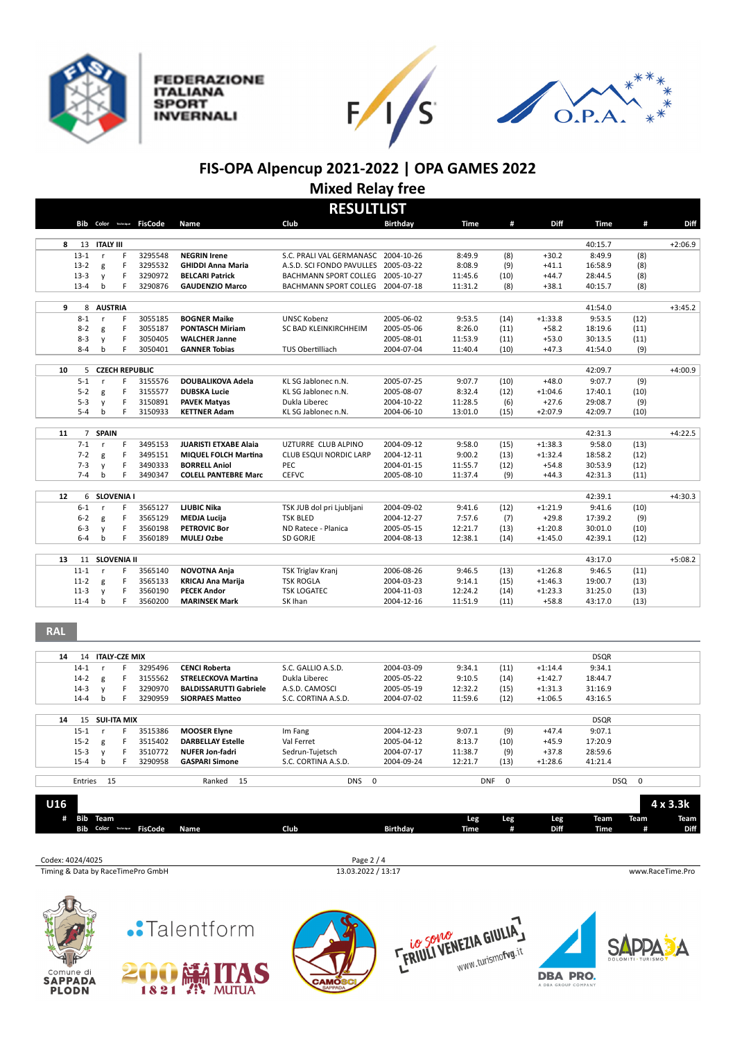

**FEDERAZIONE ITALIANA SPORT INVERNALI** 





## **FIS-OPA Alpencup 2021-2022 | OPA GAMES 2022 Mixed Relay free**

| <b>RESULTLIST</b> |                |                            |    |                |                              |                                      |                 |         |      |           |             |      |           |
|-------------------|----------------|----------------------------|----|----------------|------------------------------|--------------------------------------|-----------------|---------|------|-----------|-------------|------|-----------|
|                   |                | <b>Bib</b> Color Technique |    | <b>FisCode</b> | Name                         | Club                                 | <b>Birthdav</b> | Time    | #    | Diff      | <b>Time</b> | #    | Diff      |
| 8                 |                | 13 ITALY III               |    |                |                              |                                      |                 |         |      |           | 40:15.7     |      | $+2:06.9$ |
|                   | $13 - 1$       | r                          | F  | 3295548        | <b>NEGRIN Irene</b>          | S.C. PRALI VAL GERMANASC 2004-10-26  |                 | 8:49.9  | (8)  | $+30.2$   | 8:49.9      | (8)  |           |
|                   | $13-2$         | g                          | F  | 3295532        | <b>GHIDDI Anna Maria</b>     | A.S.D. SCI FONDO PAVULLES 2005-03-22 |                 | 8:08.9  | (9)  | $+41.1$   | 16:58.9     | (8)  |           |
|                   | $13-3$         | $\mathsf{v}$               | F  | 3290972        | <b>BELCARI Patrick</b>       | <b>BACHMANN SPORT COLLEG</b>         | 2005-10-27      | 11:45.6 | (10) | $+44.7$   | 28:44.5     | (8)  |           |
|                   | $13 - 4$       | b                          | F  | 3290876        | <b>GAUDENZIO Marco</b>       | BACHMANN SPORT COLLEG                | 2004-07-18      | 11:31.2 | (8)  | $+38.1$   | 40:15.7     | (8)  |           |
|                   |                |                            |    |                |                              |                                      |                 |         |      |           |             |      |           |
| 9                 | 8              | <b>AUSTRIA</b>             |    |                |                              |                                      |                 |         |      |           | 41:54.0     |      | $+3:45.2$ |
|                   | $8 - 1$        | r                          | F. | 3055185        | <b>BOGNER Maike</b>          | <b>UNSC Kobenz</b>                   | 2005-06-02      | 9:53.5  | (14) | $+1:33.8$ | 9:53.5      | (12) |           |
|                   | $8 - 2$        | g                          | F  | 3055187        | <b>PONTASCH Miriam</b>       | SC BAD KLEINKIRCHHEIM                | 2005-05-06      | 8:26.0  | (11) | $+58.2$   | 18:19.6     | (11) |           |
|                   | $8 - 3$        | $\mathsf{v}$               | F  | 3050405        | <b>WALCHER Janne</b>         |                                      | 2005-08-01      | 11:53.9 | (11) | $+53.0$   | 30:13.5     | (11) |           |
|                   | $8 - 4$        | $\mathbf b$                | F  | 3050401        | <b>GANNER Tobias</b>         | TUS Obertilliach                     | 2004-07-04      | 11:40.4 | (10) | $+47.3$   | 41:54.0     | (9)  |           |
| 10                | 5              | <b>CZECH REPUBLIC</b>      |    |                |                              |                                      |                 |         |      |           | 42:09.7     |      | $+4:00.9$ |
|                   | $5 - 1$        | $\mathsf{r}$               | F  | 3155576        | DOUBALIKOVA Adela            | KL SG Jablonec n.N.                  | 2005-07-25      | 9:07.7  | (10) | $+48.0$   | 9:07.7      | (9)  |           |
|                   | $5 - 2$        | g                          | F  | 3155577        | <b>DUBSKA Lucie</b>          | KL SG Jablonec n.N.                  | 2005-08-07      | 8:32.4  | (12) | $+1:04.6$ | 17:40.1     | (10) |           |
|                   | $5 - 3$        | y                          | F  | 3150891        | <b>PAVEK Matyas</b>          | Dukla Liberec                        | 2004-10-22      | 11:28.5 | (6)  | $+27.6$   | 29:08.7     | (9)  |           |
|                   | $5 - 4$        | b                          | F  | 3150933        | <b>KETTNER Adam</b>          | KL SG Jablonec n.N.                  | 2004-06-10      | 13:01.0 | (15) | $+2:07.9$ | 42:09.7     | (10) |           |
|                   |                |                            |    |                |                              |                                      |                 |         |      |           |             |      |           |
| 11                | $\overline{7}$ | <b>SPAIN</b>               |    |                |                              |                                      |                 |         |      |           | 42:31.3     |      | $+4:22.5$ |
|                   | $7 - 1$        | $\mathsf{r}$               | F. | 3495153        | <b>JUARISTI ETXABE Alaia</b> | UZTURRE CLUB ALPINO                  | 2004-09-12      | 9:58.0  | (15) | $+1:38.3$ | 9:58.0      | (13) |           |
|                   | $7 - 2$        | g                          | F  | 3495151        | <b>MIQUEL FOLCH Martina</b>  | <b>CLUB ESQUI NORDIC LARP</b>        | 2004-12-11      | 9:00.2  | (13) | $+1:32.4$ | 18:58.2     | (12) |           |
|                   | $7 - 3$        | $\mathsf{v}$               | F  | 3490333        | <b>BORRELL Aniol</b>         | <b>PEC</b>                           | 2004-01-15      | 11:55.7 | (12) | $+54.8$   | 30:53.9     | (12) |           |
|                   | $7 - 4$        | $\mathbf b$                | F  | 3490347        | <b>COLELL PANTEBRE Marc</b>  | <b>CEFVC</b>                         | 2005-08-10      | 11:37.4 | (9)  | $+44.3$   | 42:31.3     | (11) |           |
| 12                | 6              | <b>SLOVENIA I</b>          |    |                |                              |                                      |                 |         |      |           | 42:39.1     |      | $+4:30.3$ |
|                   | $6-1$          | $\mathsf{r}$               | F  | 3565127        | <b>LJUBIC Nika</b>           | TSK JUB dol pri Ljubljani            | 2004-09-02      | 9:41.6  | (12) | $+1:21.9$ | 9:41.6      | (10) |           |
|                   | $6 - 2$        | g                          | F  | 3565129        | <b>MEDJA Luciia</b>          | <b>TSK BLED</b>                      | 2004-12-27      | 7:57.6  | (7)  | $+29.8$   | 17:39.2     | (9)  |           |
|                   | $6 - 3$        | $\mathsf{v}$               | F  | 3560198        | <b>PETROVIC Bor</b>          | ND Ratece - Planica                  | 2005-05-15      | 12:21.7 | (13) | $+1:20.8$ | 30:01.0     | (10) |           |
|                   | $6 - 4$        | $\mathbf b$                | F  | 3560189        | <b>MULEJ Ozbe</b>            | SD GORJE                             | 2004-08-13      | 12:38.1 | (14) | $+1:45.0$ | 42:39.1     | (12) |           |
|                   |                |                            |    |                |                              |                                      |                 |         |      |           |             |      |           |
| 13                | 11             | <b>SLOVENIA II</b>         |    |                |                              |                                      |                 |         |      |           | 43:17.0     |      | $+5:08.2$ |
|                   | $11 - 1$       | $\mathsf{r}$               | F. | 3565140        | <b>NOVOTNA Anja</b>          | TSK Triglav Kranj                    | 2006-08-26      | 9:46.5  | (13) | $+1:26.8$ | 9:46.5      | (11) |           |
|                   | $11-2$         | g                          | F  | 3565133        | <b>KRICAJ Ana Marija</b>     | <b>TSK ROGLA</b>                     | 2004-03-23      | 9:14.1  | (15) | $+1:46.3$ | 19:00.7     | (13) |           |
|                   | $11-3$         | $\mathsf{v}$               | F  | 3560190        | <b>PECEK Andor</b>           | <b>TSK LOGATEC</b>                   | 2004-11-03      | 12:24.2 | (14) | $+1:23.3$ | 31:25.0     | (13) |           |
|                   | $11 - 4$       | b                          | F  | 3560200        | <b>MARINSEK Mark</b>         | SK Ihan                              | 2004-12-16      | 11:51.9 | (11) | $+58.8$   | 43:17.0     | (13) |           |

**RAL**

| 14 | 14       | <b>ITALY-CZE MIX</b> |    |         |                               |                     |             |            |             |           | <b>DSQR</b> |                |
|----|----------|----------------------|----|---------|-------------------------------|---------------------|-------------|------------|-------------|-----------|-------------|----------------|
|    | $14-1$   |                      | E. | 3295496 | <b>CENCI Roberta</b>          | S.C. GALLIO A.S.D.  | 2004-03-09  | 9:34.1     | (11)        | $+1:14.4$ | 9:34.1      |                |
|    | $14 - 2$ | g                    |    | 3155562 | <b>STRELECKOVA Martina</b>    | Dukla Liberec       | 2005-05-22  | 9:10.5     | (14)        | $+1:42.7$ | 18:44.7     |                |
|    | $14-3$   | $\mathsf{v}$         | F. | 3290970 | <b>BALDISSARUTTI Gabriele</b> | A.S.D. CAMOSCI      | 2005-05-19  | 12:32.2    | (15)        | $+1:31.3$ | 31:16.9     |                |
|    | $14 - 4$ | h                    |    | 3290959 | <b>SIORPAES Matteo</b>        | S.C. CORTINA A.S.D. | 2004-07-02  | 11:59.6    | (12)        | $+1:06.5$ | 43:16.5     |                |
|    |          |                      |    |         |                               |                     |             |            |             |           |             |                |
| 14 | 15       | <b>SUI-ITA MIX</b>   |    |         |                               |                     |             |            |             |           | <b>DSQR</b> |                |
|    | $15 - 1$ |                      |    | 3515386 | <b>MOOSER Elyne</b>           | Im Fang             | 2004-12-23  | 9:07.1     | (9)         | $+47.4$   | 9:07.1      |                |
|    | $15 - 2$ | g                    | F. | 3515402 | <b>DARBELLAY Estelle</b>      | Val Ferret          | 2005-04-12  | 8:13.7     | (10)        | $+45.9$   | 17:20.9     |                |
|    | $15-3$   | $\mathsf{v}$         | F. | 3510772 | <b>NUFER Jon-fadri</b>        | Sedrun-Tujetsch     | 2004-07-17  | 11:38.7    | (9)         | $+37.8$   | 28:59.6     |                |
|    | $15 - 4$ | <sub>b</sub>         |    | 3290958 | <b>GASPARI Simone</b>         | S.C. CORTINA A.S.D. | 2004-09-24  | 12:21.7    | (13)        | $+1:28.6$ | 41:21.4     |                |
|    |          |                      |    |         |                               |                     |             |            |             |           |             |                |
|    | Entries  | - 15                 |    |         | Ranked<br>15                  | <b>DNS</b>          | $\mathbf 0$ | <b>DNF</b> | $\mathbf 0$ |           | <b>DSQ</b>  | $\overline{0}$ |

| <b>U16</b>       |                                         |      |                                  |             |     |             |              |           | $4 \times 3.3k$  |
|------------------|-----------------------------------------|------|----------------------------------|-------------|-----|-------------|--------------|-----------|------------------|
| Ħ.               | Bib Team<br>Bib Color Technique FisCode | Name | Club<br><b>Birthday</b>          | Leg<br>Time | Leg | Leg<br>Diff | Team<br>Time | Team<br># | Team<br>Diff     |
|                  |                                         |      |                                  |             |     |             |              |           |                  |
| Codex: 4024/4025 | Timing & Data by RaceTimePro GmbH       |      | Page 2 / 4<br>13.03.2022 / 13:17 |             |     |             |              |           | www.RaceTime.Pro |









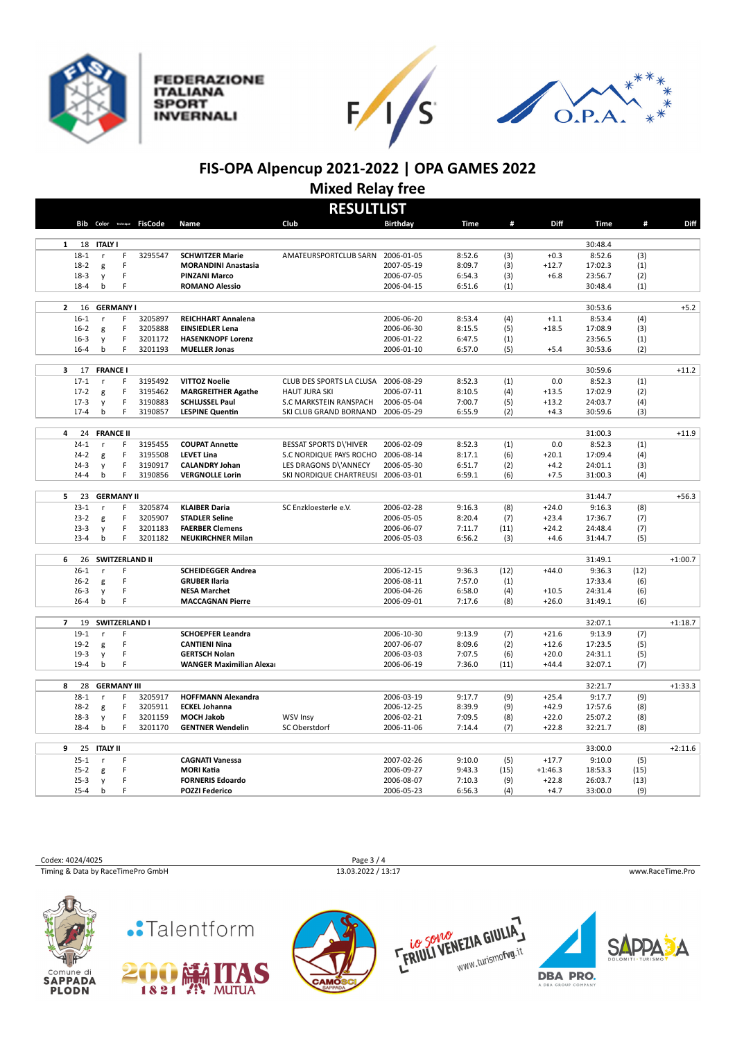

**FEDERAZIONE ITALIANA SPORT INVERNALI** 





## **FIS-OPA Alpencup 2021-2022 | OPA GAMES 2022 Mixed Relay free**

| <b>RESULTLIST</b>    |    |                              |         |                                 |                                     |                          |             |            |                   |                   |      |           |
|----------------------|----|------------------------------|---------|---------------------------------|-------------------------------------|--------------------------|-------------|------------|-------------------|-------------------|------|-----------|
|                      |    | Bib Color Technique FisCode  |         | Name                            | Club                                | <b>Birthday</b>          | <b>Time</b> | #          | Diff              | <b>Time</b>       | #    | Diff      |
| $\mathbf{1}$         | 18 | <b>ITALY I</b>               |         |                                 |                                     |                          |             |            |                   | 30:48.4           |      |           |
| $18 - 1$             |    | F<br>r                       | 3295547 | <b>SCHWITZER Marie</b>          | AMATEURSPORTCLUB SARN               | 2006-01-05               | 8:52.6      | (3)        | $+0.3$            | 8:52.6            | (3)  |           |
| $18-2$               |    | F<br>g                       |         | <b>MORANDINI Anastasia</b>      |                                     | 2007-05-19               | 8:09.7      | (3)        | $+12.7$           | 17:02.3           | (1)  |           |
| $18-3$               |    | F<br>y                       |         | <b>PINZANI Marco</b>            |                                     | 2006-07-05               | 6:54.3      | (3)        | $+6.8$            | 23:56.7           | (2)  |           |
| $18 - 4$             |    | F<br>b                       |         | <b>ROMANO Alessio</b>           |                                     | 2006-04-15               | 6:51.6      | (1)        |                   | 30:48.4           | (1)  |           |
| $\overline{2}$       | 16 | <b>GERMANY I</b>             |         |                                 |                                     |                          |             |            |                   | 30:53.6           |      | $+5.2$    |
| $16 - 1$             |    | F<br>r                       | 3205897 | <b>REICHHART Annalena</b>       |                                     | 2006-06-20               | 8:53.4      | (4)        | $+1.1$            | 8:53.4            | (4)  |           |
| $16 - 2$             |    | F<br>g                       | 3205888 | <b>EINSIEDLER Lena</b>          |                                     | 2006-06-30               | 8:15.5      | (5)        | $+18.5$           | 17:08.9           | (3)  |           |
| $16-3$               |    | F<br>y                       | 3201172 | <b>HASENKNOPF Lorenz</b>        |                                     | 2006-01-22               | 6:47.5      | (1)        |                   | 23:56.5           | (1)  |           |
| $16 - 4$             |    | b<br>F                       | 3201193 | <b>MUELLER Jonas</b>            |                                     | 2006-01-10               | 6:57.0      | (5)        | $+5.4$            | 30:53.6           | (2)  |           |
| 3                    | 17 | <b>FRANCE I</b>              |         |                                 |                                     |                          |             |            |                   | 30:59.6           |      | $+11.2$   |
| $17-1$               |    | F<br>r                       | 3195492 | <b>VITTOZ Noelie</b>            | CLUB DES SPORTS LA CLUSA 2006-08-29 |                          | 8:52.3      | (1)        | 0.0               | 8:52.3            | (1)  |           |
| $17 - 2$             |    | F                            | 3195462 | <b>MARGREITHER Agathe</b>       | <b>HAUT JURA SKI</b>                | 2006-07-11               | 8:10.5      | (4)        | $+13.5$           | 17:02.9           | (2)  |           |
| $17-3$               |    | g<br>$\mathsf F$             | 3190883 | <b>SCHLUSSEL Paul</b>           | S.C MARKSTEIN RANSPACH              |                          | 7:00.7      | (5)        |                   | 24:03.7           | (4)  |           |
| $17 - 4$             |    | y<br>F<br>b                  | 3190857 | <b>LESPINE Quentin</b>          | SKI CLUB GRAND BORNAND              | 2006-05-04<br>2006-05-29 | 6:55.9      | (2)        | $+13.2$<br>$+4.3$ | 30:59.6           | (3)  |           |
|                      |    |                              |         |                                 |                                     |                          |             |            |                   |                   |      |           |
| 4                    | 24 | <b>FRANCE II</b>             |         |                                 |                                     |                          |             |            |                   | 31:00.3           |      | $+11.9$   |
| $24 - 1$             |    | F                            | 3195455 | <b>COUPAT Annette</b>           | <b>BESSAT SPORTS D\'HIVER</b>       | 2006-02-09               | 8:52.3      | (1)        | 0.0               | 8:52.3            | (1)  |           |
| $24 - 2$             |    | F<br>g                       | 3195508 | <b>LEVET Lina</b>               | S.C NORDIQUE PAYS ROCHO             | 2006-08-14               | 8:17.1      | (6)        | $+20.1$           | 17:09.4           | (4)  |           |
| $24-3$               |    | F<br>y                       | 3190917 | <b>CALANDRY Johan</b>           | LES DRAGONS D\'ANNECY               | 2006-05-30               | 6:51.7      | (2)        | $+4.2$            | 24:01.1           | (3)  |           |
| $24 - 4$             |    | b<br>F                       | 3190856 | <b>VERGNOLLE Lorin</b>          | SKI NORDIQUE CHARTREUSI             | 2006-03-01               | 6:59.1      | (6)        | $+7.5$            | 31:00.3           | (4)  |           |
| 5                    | 23 | <b>GERMANY II</b>            |         |                                 |                                     |                          |             |            |                   | 31:44.7           |      | $+56.3$   |
| $23 - 1$             |    | F<br>r                       | 3205874 | <b>KLAIBER Daria</b>            | SC Enzkloesterle e.V.               | 2006-02-28               | 9:16.3      |            | $+24.0$           | 9:16.3            | (8)  |           |
|                      |    | F                            | 3205907 | <b>STADLER Seline</b>           |                                     | 2006-05-05               | 8:20.4      | (8)<br>(7) | $+23.4$           | 17:36.7           | (7)  |           |
| $23 - 2$<br>$23 - 3$ |    | g<br>F                       | 3201183 | <b>FAERBER Clemens</b>          |                                     | 2006-06-07               | 7:11.7      | (11)       | $+24.2$           | 24:48.4           | (7)  |           |
| $23 - 4$             |    | y<br>F<br>b                  | 3201182 | <b>NEUKIRCHNER Milan</b>        |                                     | 2006-05-03               | 6:56.2      | (3)        | $+4.6$            | 31:44.7           | (5)  |           |
|                      |    |                              |         |                                 |                                     |                          |             |            |                   |                   |      |           |
| 6                    | 26 | <b>SWITZERLAND II</b>        |         |                                 |                                     |                          |             |            |                   | 31:49.1           |      | $+1:00.7$ |
| $26 - 1$             |    | F<br>r                       |         | <b>SCHEIDEGGER Andrea</b>       |                                     | 2006-12-15               | 9:36.3      | (12)       | $+44.0$           | 9:36.3            | (12) |           |
| $26 - 2$             |    | F<br>g                       |         | <b>GRUBER Ilaria</b>            |                                     | 2006-08-11               | 7:57.0      | (1)        |                   | 17:33.4           | (6)  |           |
| $26 - 3$             |    | F<br>y                       |         | <b>NESA Marchet</b>             |                                     | 2006-04-26               | 6:58.0      | (4)        | $+10.5$           | 24:31.4           | (6)  |           |
| $26 - 4$             |    | b<br>F                       |         | <b>MACCAGNAN Pierre</b>         |                                     | 2006-09-01               | 7:17.6      | (8)        | $+26.0$           | 31:49.1           | (6)  |           |
| $\overline{7}$       | 19 | <b>SWITZERLAND I</b>         |         |                                 |                                     |                          |             |            |                   | 32:07.1           |      | $+1:18.7$ |
| $19-1$               |    | F<br>r                       |         | <b>SCHOEPFER Leandra</b>        |                                     | 2006-10-30               | 9:13.9      | (7)        | $+21.6$           | 9:13.9            | (7)  |           |
| $19 - 2$             |    | F<br>g                       |         | <b>CANTIENI Nina</b>            |                                     | 2007-06-07               | 8:09.6      | (2)        | $+12.6$           | 17:23.5           | (5)  |           |
| $19-3$               |    | F<br>y                       |         | <b>GERTSCH Nolan</b>            |                                     | 2006-03-03               | 7:07.5      | (6)        | $+20.0$           | 24:31.1           | (5)  |           |
| $19-4$               |    | F<br>b                       |         | <b>WANGER Maximilian Alexar</b> |                                     | 2006-06-19               | 7:36.0      | (11)       | $+44.4$           | 32:07.1           | (7)  |           |
|                      |    |                              |         |                                 |                                     |                          |             |            |                   |                   |      |           |
| 8<br>$28 - 1$        | 28 | <b>GERMANY III</b><br>F<br>r | 3205917 | <b>HOFFMANN Alexandra</b>       |                                     | 2006-03-19               | 9:17.7      | (9)        | $+25.4$           | 32:21.7<br>9:17.7 | (9)  | $+1:33.3$ |
| $28 - 2$             |    | F                            | 3205911 | <b>ECKEL Johanna</b>            |                                     | 2006-12-25               | 8:39.9      | (9)        | $+42.9$           | 17:57.6           | (8)  |           |
| $28-3$               |    | g<br>F<br>y                  | 3201159 | <b>MOCH Jakob</b>               | <b>WSV Insy</b>                     | 2006-02-21               | 7:09.5      | (8)        | $+22.0$           | 25:07.2           | (8)  |           |
| $28 - 4$             |    | F<br>b                       | 3201170 | <b>GENTNER Wendelin</b>         | SC Oberstdorf                       | 2006-11-06               | 7:14.4      | (7)        | $+22.8$           | 32:21.7           | (8)  |           |
|                      |    |                              |         |                                 |                                     |                          |             |            |                   |                   |      |           |
| 9                    | 25 | <b>ITALY II</b>              |         |                                 |                                     |                          |             |            |                   | 33:00.0           |      | $+2:11.6$ |
| $25 - 1$             |    | F<br>$\mathsf r$             |         | <b>CAGNATI Vanessa</b>          |                                     | 2007-02-26               | 9:10.0      | (5)        | $+17.7$           | 9:10.0            | (5)  |           |
| $25 - 2$             |    | F<br>g                       |         | <b>MORI Katia</b>               |                                     | 2006-09-27               | 9:43.3      | (15)       | $+1:46.3$         | 18:53.3           | (15) |           |
| $25 - 3$             |    | F<br>y                       |         | <b>FORNERIS Edoardo</b>         |                                     | 2006-08-07               | 7:10.3      | (9)        | $+22.8$           | 26:03.7           | (13) |           |
| $25 - 4$             |    | F<br>b                       |         | <b>POZZI Federico</b>           |                                     | 2006-05-23               | 6:56.3      | (4)        | $+4.7$            | 33:00.0           | (9)  |           |
|                      |    |                              |         |                                 |                                     |                          |             |            |                   |                   |      |           |

Codex: 4024/4025 Page 3 / 4<br>
Timing & Data by RaceTimePro GmbH 13.03.2022 / 13:17 Timing & Data by RaceTimePro GmbH 13.03.2022 / 13:17 www.RaceTime.Pro